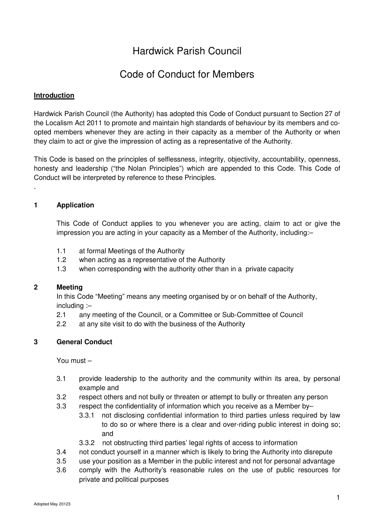# Hardwick Parish Council

# Code of Conduct for Members

#### **Introduction**

Hardwick Parish Council (the Authority) has adopted this Code of Conduct pursuant to Section 27 of the Localism Act 2011 to promote and maintain high standards of behaviour by its members and coopted members whenever they are acting in their capacity as a member of the Authority or when they claim to act or give the impression of acting as a representative of the Authority.

This Code is based on the principles of selflessness, integrity, objectivity, accountability, openness, honesty and leadership ("the Nolan Principles") which are appended to this Code. This Code of Conduct will be interpreted by reference to these Principles.

#### **1 Application**

.

This Code of Conduct applies to you whenever you are acting, claim to act or give the impression you are acting in your capacity as a Member of the Authority, including:–

- 1.1 at formal Meetings of the Authority
- 1.2 when acting as a representative of the Authority
- 1.3 when corresponding with the authority other than in a private capacity

#### **2 Meeting**

In this Code "Meeting" means any meeting organised by or on behalf of the Authority, including :–

- 2.1 any meeting of the Council, or a Committee or Sub-Committee of Council
- 2.2 at any site visit to do with the business of the Authority

#### **3 General Conduct**

You must –

- 3.1 provide leadership to the authority and the community within its area, by personal example and
- 3.2 respect others and not bully or threaten or attempt to bully or threaten any person
- 3.3 respect the confidentiality of information which you receive as a Member by–
	- 3.3.1 not disclosing confidential information to third parties unless required by law to do so or where there is a clear and over-riding public interest in doing so; and
	- 3.3.2 not obstructing third parties' legal rights of access to information
- 3.4 not conduct yourself in a manner which is likely to bring the Authority into disrepute
- 3.5 use your position as a Member in the public interest and not for personal advantage
- 3.6 comply with the Authority's reasonable rules on the use of public resources for private and political purposes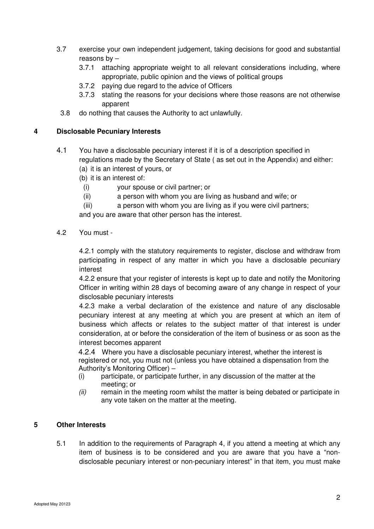- 3.7 exercise your own independent judgement, taking decisions for good and substantial reasons by –
	- 3.7.1 attaching appropriate weight to all relevant considerations including, where appropriate, public opinion and the views of political groups
	- 3.7.2 paying due regard to the advice of Officers
	- 3.7.3 stating the reasons for your decisions where those reasons are not otherwise apparent
	- 3.8 do nothing that causes the Authority to act unlawfully.

### **4 Disclosable Pecuniary Interests**

- 4.1 You have a disclosable pecuniary interest if it is of a description specified in regulations made by the Secretary of State ( as set out in the Appendix) and either:
	- (a) it is an interest of yours, or
	- (b) it is an interest of:
	- (i) your spouse or civil partner; or
	- (ii) a person with whom you are living as husband and wife; or
	- (iii) a person with whom you are living as if you were civil partners;

and you are aware that other person has the interest.

4.2 You must -

4.2.1 comply with the statutory requirements to register, disclose and withdraw from participating in respect of any matter in which you have a disclosable pecuniary interest

4.2.2 ensure that your register of interests is kept up to date and notify the Monitoring Officer in writing within 28 days of becoming aware of any change in respect of your disclosable pecuniary interests

4.2.3 make a verbal declaration of the existence and nature of any disclosable pecuniary interest at any meeting at which you are present at which an item of business which affects or relates to the subject matter of that interest is under consideration, at or before the consideration of the item of business or as soon as the interest becomes apparent

 4.2.4 Where you have a disclosable pecuniary interest, whether the interest is registered or not, you must not (unless you have obtained a dispensation from the Authority's Monitoring Officer) –

- (i) participate, or participate further, in any discussion of the matter at the meeting; or
- (ii) remain in the meeting room whilst the matter is being debated or participate in any vote taken on the matter at the meeting.

### **5 Other Interests**

5.1 In addition to the requirements of Paragraph 4, if you attend a meeting at which any item of business is to be considered and you are aware that you have a "nondisclosable pecuniary interest or non-pecuniary interest" in that item, you must make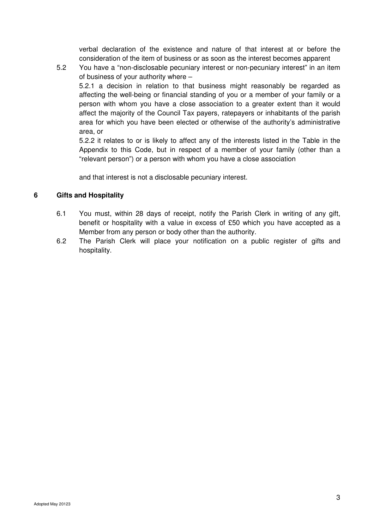verbal declaration of the existence and nature of that interest at or before the consideration of the item of business or as soon as the interest becomes apparent

5.2 You have a "non-disclosable pecuniary interest or non-pecuniary interest" in an item of business of your authority where – 5.2.1 a decision in relation to that business might reasonably be regarded as affecting the well-being or financial standing of you or a member of your family or a person with whom you have a close association to a greater extent than it would affect the majority of the Council Tax payers, ratepayers or inhabitants of the parish area for which you have been elected or otherwise of the authority's administrative area, or

5.2.2 it relates to or is likely to affect any of the interests listed in the Table in the Appendix to this Code, but in respect of a member of your family (other than a "relevant person") or a person with whom you have a close association

and that interest is not a disclosable pecuniary interest.

### **6 Gifts and Hospitality**

- 6.1 You must, within 28 days of receipt, notify the Parish Clerk in writing of any gift, benefit or hospitality with a value in excess of £50 which you have accepted as a Member from any person or body other than the authority.
- 6.2 The Parish Clerk will place your notification on a public register of gifts and hospitality.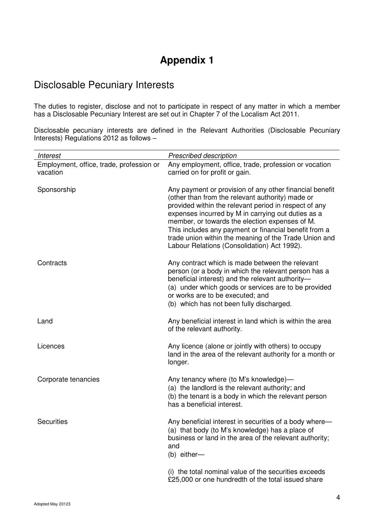# **Appendix 1**

# Disclosable Pecuniary Interests

The duties to register, disclose and not to participate in respect of any matter in which a member has a Disclosable Pecuniary Interest are set out in Chapter 7 of the Localism Act 2011.

Disclosable pecuniary interests are defined in the Relevant Authorities (Disclosable Pecuniary Interests) Regulations 2012 as follows –

| <b>Interest</b>                                      | Prescribed description                                                                                                                                                                                                                                                                                                                                                                                                                        |
|------------------------------------------------------|-----------------------------------------------------------------------------------------------------------------------------------------------------------------------------------------------------------------------------------------------------------------------------------------------------------------------------------------------------------------------------------------------------------------------------------------------|
| Employment, office, trade, profession or<br>vacation | Any employment, office, trade, profession or vocation<br>carried on for profit or gain.                                                                                                                                                                                                                                                                                                                                                       |
| Sponsorship                                          | Any payment or provision of any other financial benefit<br>(other than from the relevant authority) made or<br>provided within the relevant period in respect of any<br>expenses incurred by M in carrying out duties as a<br>member, or towards the election expenses of M.<br>This includes any payment or financial benefit from a<br>trade union within the meaning of the Trade Union and<br>Labour Relations (Consolidation) Act 1992). |
| Contracts                                            | Any contract which is made between the relevant<br>person (or a body in which the relevant person has a<br>beneficial interest) and the relevant authority-<br>(a) under which goods or services are to be provided<br>or works are to be executed; and<br>(b) which has not been fully discharged.                                                                                                                                           |
| Land                                                 | Any beneficial interest in land which is within the area<br>of the relevant authority.                                                                                                                                                                                                                                                                                                                                                        |
| Licences                                             | Any licence (alone or jointly with others) to occupy<br>land in the area of the relevant authority for a month or<br>longer.                                                                                                                                                                                                                                                                                                                  |
| Corporate tenancies                                  | Any tenancy where (to M's knowledge)-<br>(a) the landlord is the relevant authority; and<br>(b) the tenant is a body in which the relevant person<br>has a beneficial interest.                                                                                                                                                                                                                                                               |
| <b>Securities</b>                                    | Any beneficial interest in securities of a body where-<br>(a) that body (to M's knowledge) has a place of<br>business or land in the area of the relevant authority;<br>and<br>(b) either-                                                                                                                                                                                                                                                    |
|                                                      | (i) the total nominal value of the securities exceeds<br>£25,000 or one hundredth of the total issued share                                                                                                                                                                                                                                                                                                                                   |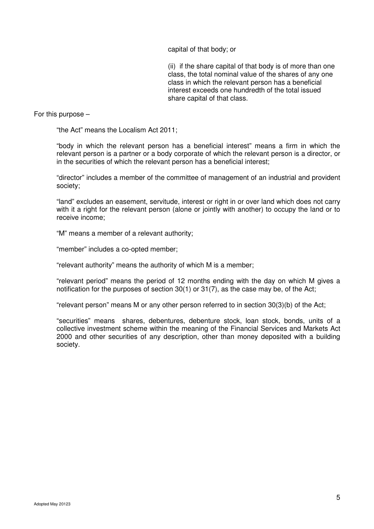capital of that body; or

(ii) if the share capital of that body is of more than one class, the total nominal value of the shares of any one class in which the relevant person has a beneficial interest exceeds one hundredth of the total issued share capital of that class.

For this purpose –

"the Act" means the Localism Act 2011;

"body in which the relevant person has a beneficial interest" means a firm in which the relevant person is a partner or a body corporate of which the relevant person is a director, or in the securities of which the relevant person has a beneficial interest;

"director" includes a member of the committee of management of an industrial and provident society;

"land" excludes an easement, servitude, interest or right in or over land which does not carry with it a right for the relevant person (alone or jointly with another) to occupy the land or to receive income;

"M" means a member of a relevant authority;

"member" includes a co-opted member;

"relevant authority" means the authority of which M is a member;

"relevant period" means the period of 12 months ending with the day on which M gives a notification for the purposes of section 30(1) or 31(7), as the case may be, of the Act;

"relevant person" means M or any other person referred to in section 30(3)(b) of the Act;

"securities" means shares, debentures, debenture stock, loan stock, bonds, units of a collective investment scheme within the meaning of the Financial Services and Markets Act 2000 and other securities of any description, other than money deposited with a building society.